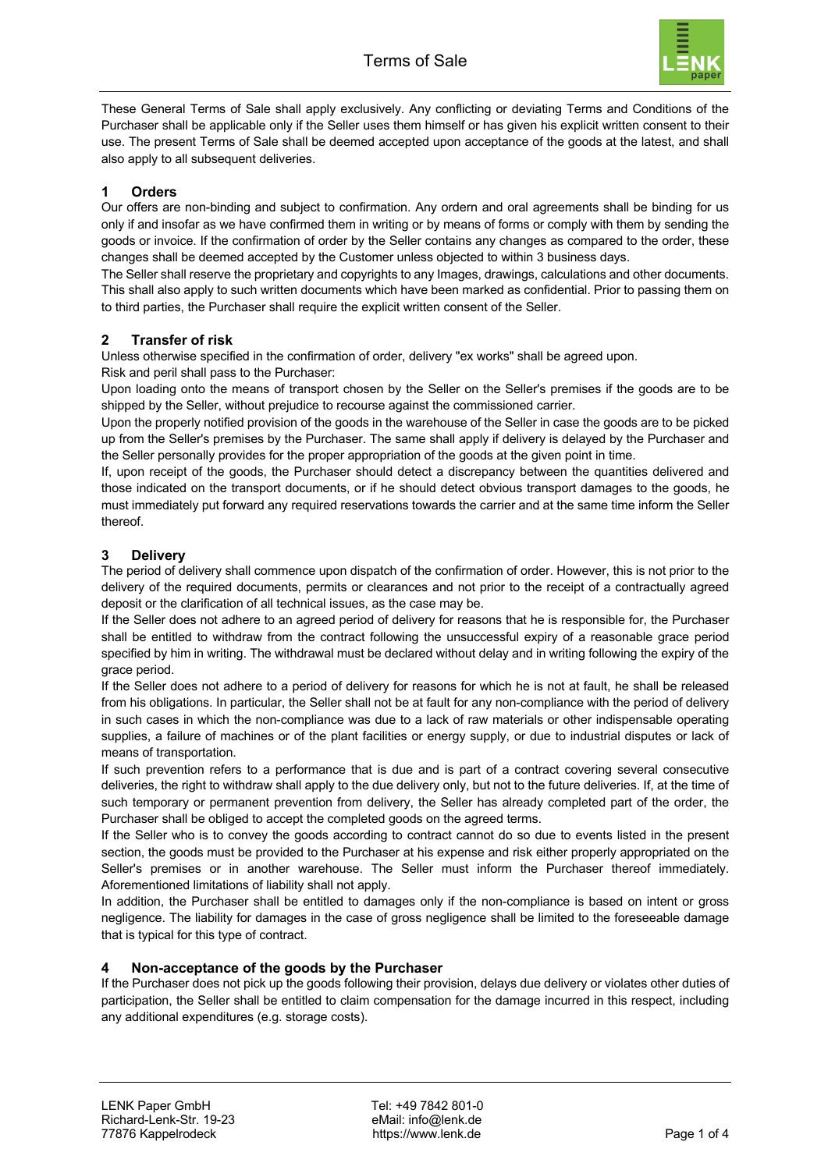

These General Terms of Sale shall apply exclusively. Any conflicting or deviating Terms and Conditions of the Purchaser shall be applicable only if the Seller uses them himself or has given his explicit written consent to their use. The present Terms of Sale shall be deemed accepted upon acceptance of the goods at the latest, and shall also apply to all subsequent deliveries.

### **1 Orders**

Our offers are non-binding and subject to confirmation. Any ordern and oral agreements shall be binding for us only if and insofar as we have confirmed them in writing or by means of forms or comply with them by sending the goods or invoice. If the confirmation of order by the Seller contains any changes as compared to the order, these changes shall be deemed accepted by the Customer unless objected to within 3 business days.

The Seller shall reserve the proprietary and copyrights to any Images, drawings, calculations and other documents. This shall also apply to such written documents which have been marked as confidential. Prior to passing them on to third parties, the Purchaser shall require the explicit written consent of the Seller.

### **2 Transfer of risk**

Unless otherwise specified in the confirmation of order, delivery "ex works" shall be agreed upon.

Risk and peril shall pass to the Purchaser:

Upon loading onto the means of transport chosen by the Seller on the Seller's premises if the goods are to be shipped by the Seller, without prejudice to recourse against the commissioned carrier.

Upon the properly notified provision of the goods in the warehouse of the Seller in case the goods are to be picked up from the Seller's premises by the Purchaser. The same shall apply if delivery is delayed by the Purchaser and the Seller personally provides for the proper appropriation of the goods at the given point in time.

If, upon receipt of the goods, the Purchaser should detect a discrepancy between the quantities delivered and those indicated on the transport documents, or if he should detect obvious transport damages to the goods, he must immediately put forward any required reservations towards the carrier and at the same time inform the Seller thereof.

# **3 Delivery**

The period of delivery shall commence upon dispatch of the confirmation of order. However, this is not prior to the delivery of the required documents, permits or clearances and not prior to the receipt of a contractually agreed deposit or the clarification of all technical issues, as the case may be.

If the Seller does not adhere to an agreed period of delivery for reasons that he is responsible for, the Purchaser shall be entitled to withdraw from the contract following the unsuccessful expiry of a reasonable grace period specified by him in writing. The withdrawal must be declared without delay and in writing following the expiry of the grace period.

If the Seller does not adhere to a period of delivery for reasons for which he is not at fault, he shall be released from his obligations. In particular, the Seller shall not be at fault for any non-compliance with the period of delivery in such cases in which the non-compliance was due to a lack of raw materials or other indispensable operating supplies, a failure of machines or of the plant facilities or energy supply, or due to industrial disputes or lack of means of transportation.

If such prevention refers to a performance that is due and is part of a contract covering several consecutive deliveries, the right to withdraw shall apply to the due delivery only, but not to the future deliveries. If, at the time of such temporary or permanent prevention from delivery, the Seller has already completed part of the order, the Purchaser shall be obliged to accept the completed goods on the agreed terms.

If the Seller who is to convey the goods according to contract cannot do so due to events listed in the present section, the goods must be provided to the Purchaser at his expense and risk either properly appropriated on the Seller's premises or in another warehouse. The Seller must inform the Purchaser thereof immediately. Aforementioned limitations of liability shall not apply.

In addition, the Purchaser shall be entitled to damages only if the non-compliance is based on intent or gross negligence. The liability for damages in the case of gross negligence shall be limited to the foreseeable damage that is typical for this type of contract.

#### **4 Non-acceptance of the goods by the Purchaser**

If the Purchaser does not pick up the goods following their provision, delays due delivery or violates other duties of participation, the Seller shall be entitled to claim compensation for the damage incurred in this respect, including any additional expenditures (e.g. storage costs).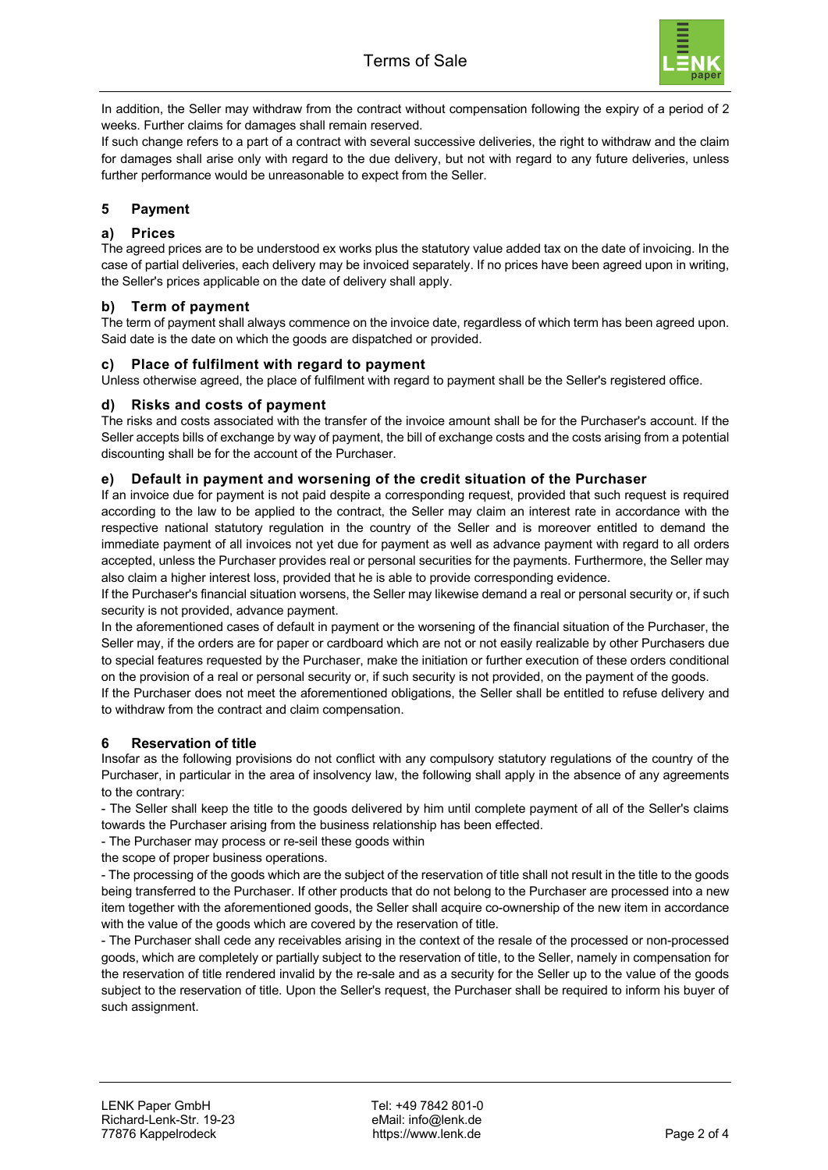

In addition, the Seller may withdraw from the contract without compensation following the expiry of a period of 2 weeks. Further claims for damages shall remain reserved.

If such change refers to a part of a contract with several successive deliveries, the right to withdraw and the claim for damages shall arise only with regard to the due delivery, but not with regard to any future deliveries, unless further performance would be unreasonable to expect from the Seller.

### **5 Payment**

### **a) Prices**

The agreed prices are to be understood ex works plus the statutory value added tax on the date of invoicing. In the case of partial deliveries, each delivery may be invoiced separately. If no prices have been agreed upon in writing, the Seller's prices applicable on the date of delivery shall apply.

### **b) Term of payment**

The term of payment shall always commence on the invoice date, regardless of which term has been agreed upon. Said date is the date on which the goods are dispatched or provided.

#### **c) Place of fulfilment with regard to payment**

Unless otherwise agreed, the place of fulfilment with regard to payment shall be the Seller's registered office.

#### **d) Risks and costs of payment**

The risks and costs associated with the transfer of the invoice amount shall be for the Purchaser's account. If the Seller accepts bills of exchange by way of payment, the bill of exchange costs and the costs arising from a potential discounting shall be for the account of the Purchaser.

#### **e) Default in payment and worsening of the credit situation of the Purchaser**

If an invoice due for payment is not paid despite a corresponding request, provided that such request is required according to the law to be applied to the contract, the Seller may claim an interest rate in accordance with the respective national statutory regulation in the country of the Seller and is moreover entitled to demand the immediate payment of all invoices not yet due for payment as well as advance payment with regard to all orders accepted, unless the Purchaser provides real or personal securities for the payments. Furthermore, the Seller may also claim a higher interest loss, provided that he is able to provide corresponding evidence.

If the Purchaser's financial situation worsens, the Seller may likewise demand a real or personal security or, if such security is not provided, advance payment.

In the aforementioned cases of default in payment or the worsening of the financial situation of the Purchaser, the Seller may, if the orders are for paper or cardboard which are not or not easily realizable by other Purchasers due to special features requested by the Purchaser, make the initiation or further execution of these orders conditional on the provision of a real or personal security or, if such security is not provided, on the payment of the goods.

If the Purchaser does not meet the aforementioned obligations, the Seller shall be entitled to refuse delivery and to withdraw from the contract and claim compensation.

#### **6 Reservation of title**

Insofar as the following provisions do not conflict with any compulsory statutory regulations of the country of the Purchaser, in particular in the area of insolvency law, the following shall apply in the absence of any agreements to the contrary:

- The Seller shall keep the title to the goods delivered by him until complete payment of all of the Seller's claims towards the Purchaser arising from the business relationship has been effected.

- The Purchaser may process or re-seil these goods within

the scope of proper business operations.

- The processing of the goods which are the subject of the reservation of title shall not result in the title to the goods being transferred to the Purchaser. If other products that do not belong to the Purchaser are processed into a new item together with the aforementioned goods, the Seller shall acquire co-ownership of the new item in accordance with the value of the goods which are covered by the reservation of title.

- The Purchaser shall cede any receivables arising in the context of the resale of the processed or non-processed goods, which are completely or partially subject to the reservation of title, to the Seller, namely in compensation for the reservation of title rendered invalid by the re-sale and as a security for the Seller up to the value of the goods subject to the reservation of title. Upon the Seller's request, the Purchaser shall be required to inform his buyer of such assignment.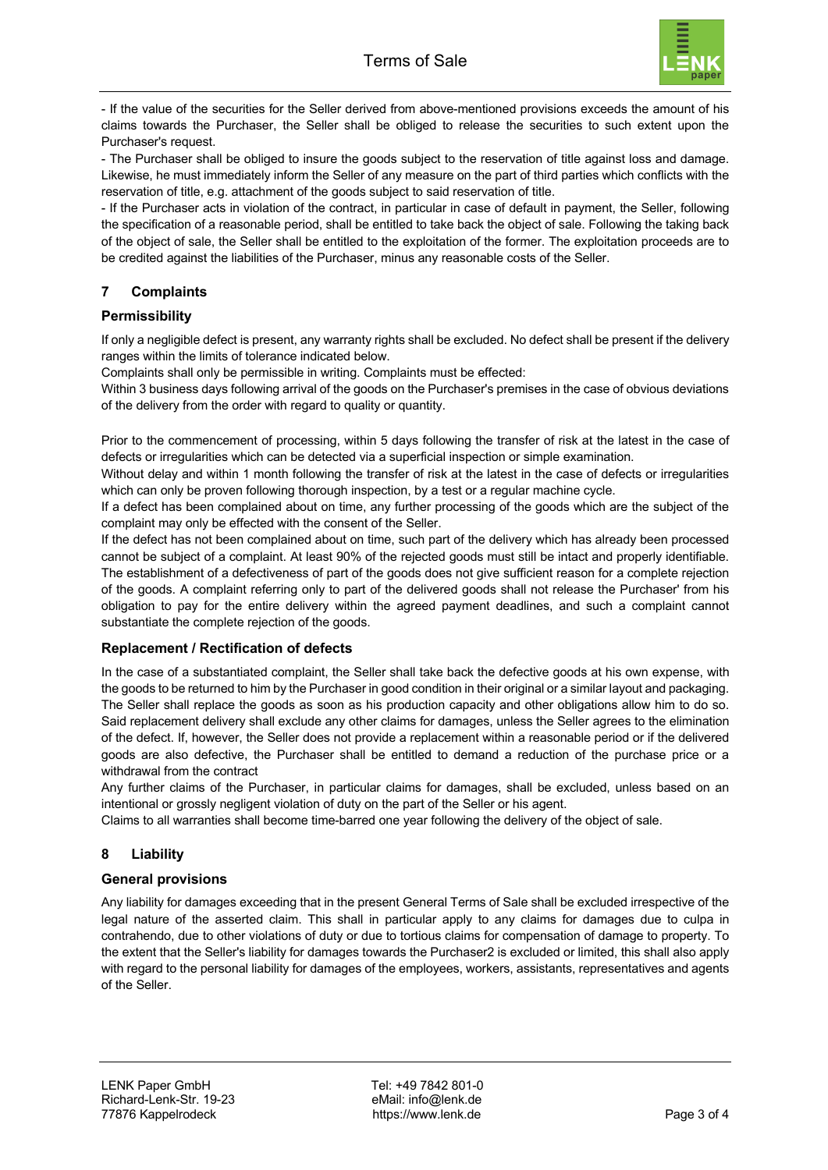

- If the value of the securities for the Seller derived from above-mentioned provisions exceeds the amount of his claims towards the Purchaser, the Seller shall be obliged to release the securities to such extent upon the Purchaser's request.

- The Purchaser shall be obliged to insure the goods subject to the reservation of title against loss and damage. Likewise, he must immediately inform the Seller of any measure on the part of third parties which conflicts with the reservation of title, e.g. attachment of the goods subject to said reservation of title.

- If the Purchaser acts in violation of the contract, in particular in case of default in payment, the Seller, following the specification of a reasonable period, shall be entitled to take back the object of sale. Following the taking back of the object of sale, the Seller shall be entitled to the exploitation of the former. The exploitation proceeds are to be credited against the liabilities of the Purchaser, minus any reasonable costs of the Seller.

# **7 Complaints**

### **Permissibility**

If only a negligible defect is present, any warranty rights shall be excluded. No defect shall be present if the delivery ranges within the limits of tolerance indicated below.

Complaints shall only be permissible in writing. Complaints must be effected:

Within 3 business days following arrival of the goods on the Purchaser's premises in the case of obvious deviations of the delivery from the order with regard to quality or quantity.

Prior to the commencement of processing, within 5 days following the transfer of risk at the latest in the case of defects or irregularities which can be detected via a superficial inspection or simple examination.

Without delay and within 1 month following the transfer of risk at the latest in the case of defects or irregularities which can only be proven following thorough inspection, by a test or a regular machine cycle.

If a defect has been complained about on time, any further processing of the goods which are the subject of the complaint may only be effected with the consent of the Seller.

If the defect has not been complained about on time, such part of the delivery which has already been processed cannot be subject of a complaint. At least 90% of the rejected goods must still be intact and properly identifiable. The establishment of a defectiveness of part of the goods does not give sufficient reason for a complete rejection of the goods. A complaint referring only to part of the delivered goods shall not release the Purchaser' from his obligation to pay for the entire delivery within the agreed payment deadlines, and such a complaint cannot substantiate the complete rejection of the goods.

#### **Replacement / Rectification of defects**

In the case of a substantiated complaint, the Seller shall take back the defective goods at his own expense, with the goods to be returned to him by the Purchaser in good condition in their original or a similar layout and packaging. The Seller shall replace the goods as soon as his production capacity and other obligations allow him to do so. Said replacement delivery shall exclude any other claims for damages, unless the Seller agrees to the elimination of the defect. If, however, the Seller does not provide a replacement within a reasonable period or if the delivered goods are also defective, the Purchaser shall be entitled to demand a reduction of the purchase price or a withdrawal from the contract

Any further claims of the Purchaser, in particular claims for damages, shall be excluded, unless based on an intentional or grossly negligent violation of duty on the part of the Seller or his agent.

Claims to all warranties shall become time-barred one year following the delivery of the object of sale.

# **8 Liability**

#### **General provisions**

Any liability for damages exceeding that in the present General Terms of Sale shall be excluded irrespective of the legal nature of the asserted claim. This shall in particular apply to any claims for damages due to culpa in contrahendo, due to other violations of duty or due to tortious claims for compensation of damage to property. To the extent that the Seller's liability for damages towards the Purchaser2 is excluded or limited, this shall also apply with regard to the personal liability for damages of the employees, workers, assistants, representatives and agents of the Seller.